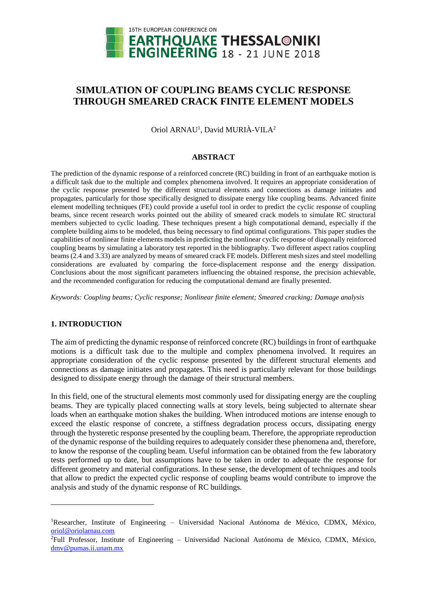

# **SIMULATION OF COUPLING BEAMS CYCLIC RESPONSE THROUGH SMEARED CRACK FINITE ELEMENT MODELS**

Oriol ARNAU<sup>1</sup>, David MURIÀ-VILA<sup>2</sup>

### **ABSTRACT**

The prediction of the dynamic response of a reinforced concrete (RC) building in front of an earthquake motion is a difficult task due to the multiple and complex phenomena involved. It requires an appropriate consideration of the cyclic response presented by the different structural elements and connections as damage initiates and propagates, particularly for those specifically designed to dissipate energy like coupling beams. Advanced finite element modelling techniques (FE) could provide a useful tool in order to predict the cyclic response of coupling beams, since recent research works pointed out the ability of smeared crack models to simulate RC structural members subjected to cyclic loading. These techniques present a high computational demand, especially if the complete building aims to be modeled, thus being necessary to find optimal configurations. This paper studies the capabilities of nonlinear finite elements models in predicting the nonlinear cyclic response of diagonally reinforced coupling beams by simulating a laboratory test reported in the bibliography. Two different aspect ratios coupling beams (2.4 and 3.33) are analyzed by means of smeared crack FE models. Different mesh sizes and steel modelling considerations are evaluated by comparing the force-displacement response and the energy dissipation. Conclusions about the most significant parameters influencing the obtained response, the precision achievable, and the recommended configuration for reducing the computational demand are finally presented.

*Keywords: Coupling beams; Cyclic response; Nonlinear finite element; Smeared cracking; Damage analysis*

# **1. INTRODUCTION**

l

The aim of predicting the dynamic response of reinforced concrete (RC) buildings in front of earthquake motions is a difficult task due to the multiple and complex phenomena involved. It requires an appropriate consideration of the cyclic response presented by the different structural elements and connections as damage initiates and propagates. This need is particularly relevant for those buildings designed to dissipate energy through the damage of their structural members.

In this field, one of the structural elements most commonly used for dissipating energy are the coupling beams. They are typically placed connecting walls at story levels, being subjected to alternate shear loads when an earthquake motion shakes the building. When introduced motions are intense enough to exceed the elastic response of concrete, a stiffness degradation process occurs, dissipating energy through the hysteretic response presented by the coupling beam. Therefore, the appropriate reproduction of the dynamic response of the building requires to adequately consider these phenomena and, therefore, to know the response of the coupling beam. Useful information can be obtained from the few laboratory tests performed up to date, but assumptions have to be taken in order to adequate the response for different geometry and material configurations. In these sense, the development of techniques and tools that allow to predict the expected cyclic response of coupling beams would contribute to improve the analysis and study of the dynamic response of RC buildings.

 ${}^{1}$ Researcher, Institute of Engineering – Universidad Nacional Autónoma de México, CDMX, México, [oriol@oriolarnau.com](mailto:oriol@oriolarnau.com)

<sup>2</sup>Full Professor, Institute of Engineering – Universidad Nacional Autónoma de México, CDMX, México, [dmv@pumas.ii.unam.mx](mailto:dmv@pumas.ii.unam.m)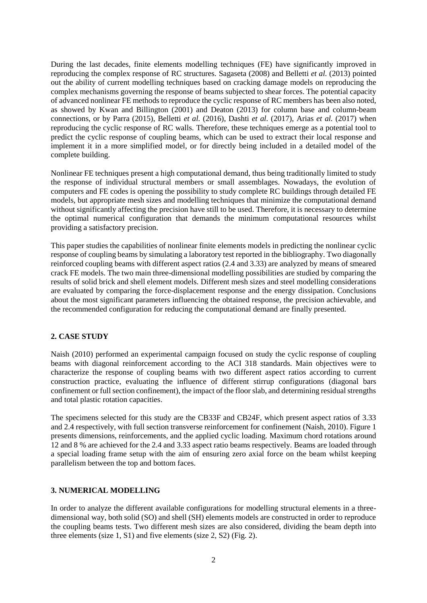During the last decades, finite elements modelling techniques (FE) have significantly improved in reproducing the complex response of RC structures. Sagaseta (2008) and Belletti *et al.* (2013) pointed out the ability of current modelling techniques based on cracking damage models on reproducing the complex mechanisms governing the response of beams subjected to shear forces. The potential capacity of advanced nonlinear FE methods to reproduce the cyclic response of RC members has been also noted, as showed by Kwan and Billington (2001) and Deaton (2013) for column base and column-beam connections, or by Parra (2015), Belletti *et al.* (2016), Dashti *et al.* (2017), Arias *et al.* (2017) when reproducing the cyclic response of RC walls. Therefore, these techniques emerge as a potential tool to predict the cyclic response of coupling beams, which can be used to extract their local response and implement it in a more simplified model, or for directly being included in a detailed model of the complete building.

Nonlinear FE techniques present a high computational demand, thus being traditionally limited to study the response of individual structural members or small assemblages. Nowadays, the evolution of computers and FE codes is opening the possibility to study complete RC buildings through detailed FE models, but appropriate mesh sizes and modelling techniques that minimize the computational demand without significantly affecting the precision have still to be used. Therefore, it is necessary to determine the optimal numerical configuration that demands the minimum computational resources whilst providing a satisfactory precision.

This paper studies the capabilities of nonlinear finite elements models in predicting the nonlinear cyclic response of coupling beams by simulating a laboratory test reported in the bibliography. Two diagonally reinforced coupling beams with different aspect ratios (2.4 and 3.33) are analyzed by means of smeared crack FE models. The two main three-dimensional modelling possibilities are studied by comparing the results of solid brick and shell element models. Different mesh sizes and steel modelling considerations are evaluated by comparing the force-displacement response and the energy dissipation. Conclusions about the most significant parameters influencing the obtained response, the precision achievable, and the recommended configuration for reducing the computational demand are finally presented.

# **2. CASE STUDY**

Naish (2010) performed an experimental campaign focused on study the cyclic response of coupling beams with diagonal reinforcement according to the ACI 318 standards. Main objectives were to characterize the response of coupling beams with two different aspect ratios according to current construction practice, evaluating the influence of different stirrup configurations (diagonal bars confinement or full section confinement), the impact of the floor slab, and determining residual strengths and total plastic rotation capacities.

The specimens selected for this study are the CB33F and CB24F, which present aspect ratios of 3.33 and 2.4 respectively, with full section transverse reinforcement for confinement (Naish, 2010). Figure 1 presents dimensions, reinforcements, and the applied cyclic loading. Maximum chord rotations around 12 and 8 % are achieved for the 2.4 and 3.33 aspect ratio beams respectively. Beams are loaded through a special loading frame setup with the aim of ensuring zero axial force on the beam whilst keeping parallelism between the top and bottom faces.

# **3. NUMERICAL MODELLING**

In order to analyze the different available configurations for modelling structural elements in a threedimensional way, both solid (SO) and shell (SH) elements models are constructed in order to reproduce the coupling beams tests. Two different mesh sizes are also considered, dividing the beam depth into three elements (size 1, S1) and five elements (size 2, S2) (Fig. 2).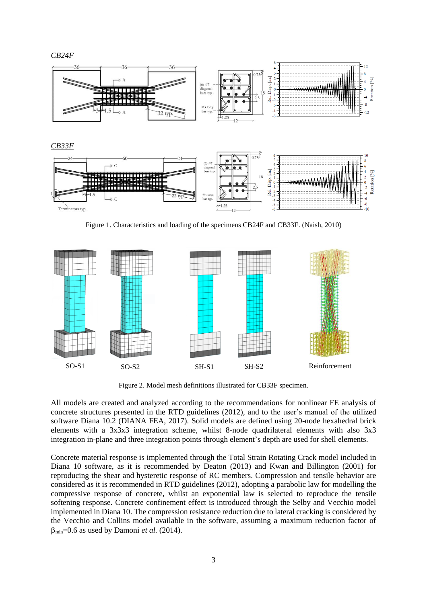

Figure 1. Characteristics and loading of the specimens CB24F and CB33F. (Naish, 2010)



Figure 2. Model mesh definitions illustrated for CB33F specimen.

All models are created and analyzed according to the recommendations for nonlinear FE analysis of concrete structures presented in the RTD guidelines (2012), and to the user's manual of the utilized software Diana 10.2 (DIANA FEA, 2017). Solid models are defined using 20-node hexahedral brick elements with a 3x3x3 integration scheme, whilst 8-node quadrilateral elements with also 3x3 integration in-plane and three integration points through element's depth are used for shell elements.

Concrete material response is implemented through the Total Strain Rotating Crack model included in Diana 10 software, as it is recommended by Deaton (2013) and Kwan and Billington (2001) for reproducing the shear and hysteretic response of RC members. Compression and tensile behavior are considered as it is recommended in RTD guidelines (2012), adopting a parabolic law for modelling the compressive response of concrete, whilst an exponential law is selected to reproduce the tensile softening response. Concrete confinement effect is introduced through the Selby and Vecchio model implemented in Diana 10. The compression resistance reduction due to lateral cracking is considered by the Vecchio and Collins model available in the software, assuming a maximum reduction factor of  $\beta_{\text{min}}$ =0.6 as used by Damoni *et al.* (2014).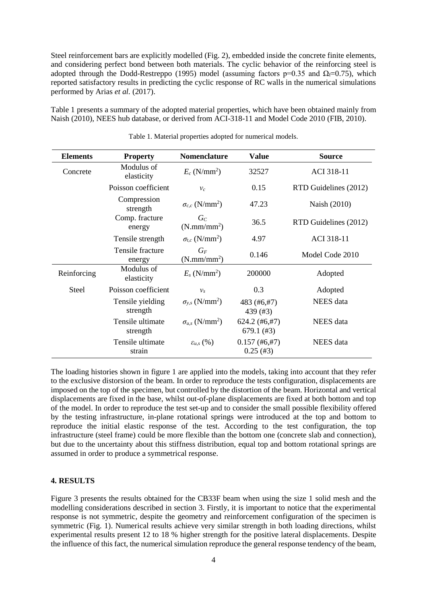Steel reinforcement bars are explicitly modelled (Fig. 2), embedded inside the concrete finite elements, and considering perfect bond between both materials. The cyclic behavior of the reinforcing steel is adopted through the Dodd-Restreppo (1995) model (assuming factors p=0.35 and  $\Omega_f$ =0.75), which reported satisfactory results in predicting the cyclic response of RC walls in the numerical simulations performed by Arias *et al.* (2017).

Table 1 presents a summary of the adopted material properties, which have been obtained mainly from Naish (2010), NEES hub database, or derived from ACI-318-11 and Model Code 2010 (FIB, 2010).

| <b>Elements</b> | <b>Property</b>              | <b>Nomenclature</b>                 | <b>Value</b>                    | <b>Source</b>         |
|-----------------|------------------------------|-------------------------------------|---------------------------------|-----------------------|
| Concrete        | Modulus of<br>elasticity     | $E_c$ (N/mm <sup>2</sup> )          | 32527                           | ACI 318-11            |
|                 | Poisson coefficient          | $v_c$                               | 0.15                            | RTD Guidelines (2012) |
|                 | Compression<br>strength      | $\sigma_{c,c}$ (N/mm <sup>2</sup> ) | 47.23                           | Naish (2010)          |
|                 | Comp. fracture<br>energy     | $G_C$<br>(N.mm/mm <sup>2</sup> )    | 36.5                            | RTD Guidelines (2012) |
|                 | Tensile strength             | $\sigma_{t,c}$ (N/mm <sup>2</sup> ) | 4.97                            | <b>ACI 318-11</b>     |
|                 | Tensile fracture<br>energy   | $G_F$<br>(N.mm/mm <sup>2</sup> )    | 0.146                           | Model Code 2010       |
| Reinforcing     | Modulus of<br>elasticity     | $E_s$ (N/mm <sup>2</sup> )          | 200000                          | Adopted               |
| <b>Steel</b>    | Poisson coefficient          | $v_s$                               | 0.3                             | Adopted               |
|                 | Tensile yielding<br>strength | $\sigma_{v,s}$ (N/mm <sup>2</sup> ) | 483 (#6,#7)<br>439 (#3)         | NEES data             |
|                 | Tensile ultimate<br>strength | $\sigma_{u,s}$ (N/mm <sup>2</sup> ) | $624.2$ (#6,#7)<br>$679.1$ (#3) | NEES data             |
|                 | Tensile ultimate<br>strain   | $\varepsilon_{u,s}$ $(\%)$          | $0.157$ (#6,#7)<br>$0.25$ (#3)  | NEES data             |

Table 1. Material properties adopted for numerical models.

The loading histories shown in figure 1 are applied into the models, taking into account that they refer to the exclusive distorsion of the beam. In order to reproduce the tests configuration, displacements are imposed on the top of the specimen, but controlled by the distortion of the beam. Horizontal and vertical displacements are fixed in the base, whilst out-of-plane displacements are fixed at both bottom and top of the model. In order to reproduce the test set-up and to consider the small possible flexibility offered by the testing infrastructure, in-plane rotational springs were introduced at the top and bottom to reproduce the initial elastic response of the test. According to the test configuration, the top infrastructure (steel frame) could be more flexible than the bottom one (concrete slab and connection), but due to the uncertainty about this stiffness distribution, equal top and bottom rotational springs are assumed in order to produce a symmetrical response.

#### **4. RESULTS**

Figure 3 presents the results obtained for the CB33F beam when using the size 1 solid mesh and the modelling considerations described in section 3. Firstly, it is important to notice that the experimental response is not symmetric, despite the geometry and reinforcement configuration of the specimen is symmetric (Fig. 1). Numerical results achieve very similar strength in both loading directions, whilst experimental results present 12 to 18 % higher strength for the positive lateral displacements. Despite the influence of this fact, the numerical simulation reproduce the general response tendency of the beam,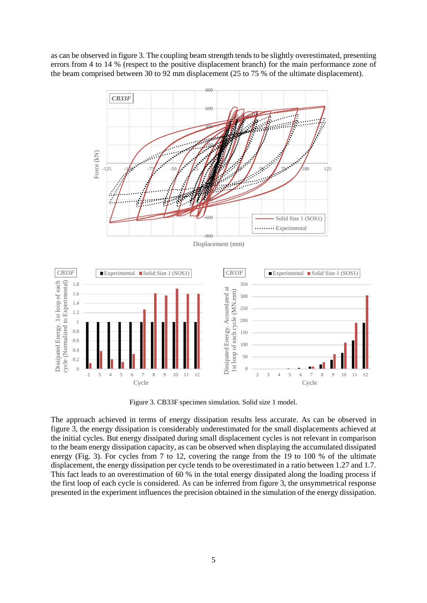as can be observed in figure 3. The coupling beam strength tends to be slightly overestimated, presenting errors from 4 to 14 % (respect to the positive displacement branch) for the main performance zone of the beam comprised between 30 to 92 mm displacement (25 to 75 % of the ultimate displacement).



Figure 3. CB33F specimen simulation. Solid size 1 model.

The approach achieved in terms of energy dissipation results less accurate. As can be observed in figure 3, the energy dissipation is considerably underestimated for the small displacements achieved at the initial cycles. But energy dissipated during small displacement cycles is not relevant in comparison to the beam energy dissipation capacity, as can be observed when displaying the accumulated dissipated energy (Fig. 3). For cycles from 7 to 12, covering the range from the 19 to 100 % of the ultimate displacement, the energy dissipation per cycle tends to be overestimated in a ratio between 1.27 and 1.7. This fact leads to an overestimation of 60 % in the total energy dissipated along the loading process if the first loop of each cycle is considered. As can be inferred from figure 3, the unsymmetrical response presented in the experiment influences the precision obtained in the simulation of the energy dissipation.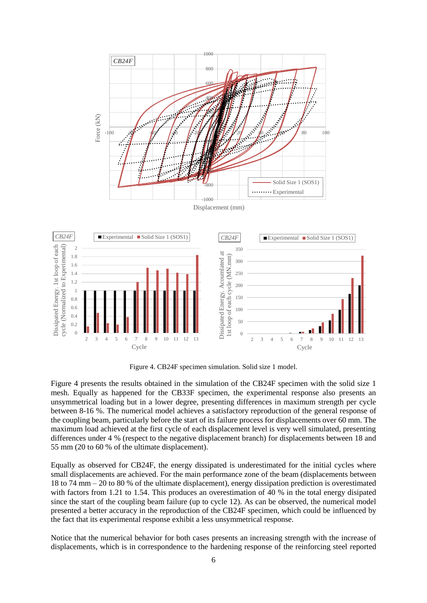

Figure 4. CB24F specimen simulation. Solid size 1 model.

Figure 4 presents the results obtained in the simulation of the CB24F specimen with the solid size 1 mesh. Equally as happened for the CB33F specimen, the experimental response also presents an unsymmetrical loading but in a lower degree, presenting differences in maximum strength per cycle between 8-16 %. The numerical model achieves a satisfactory reproduction of the general response of the coupling beam, particularly before the start of its failure process for displacements over 60 mm. The maximum load achieved at the first cycle of each displacement level is very well simulated, presenting differences under 4 % (respect to the negative displacement branch) for displacements between 18 and 55 mm (20 to 60 % of the ultimate displacement).

Equally as observed for CB24F, the energy dissipated is underestimated for the initial cycles where small displacements are achieved. For the main performance zone of the beam (displacements between 18 to 74 mm – 20 to 80 % of the ultimate displacement), energy dissipation prediction is overestimated with factors from 1.21 to 1.54. This produces an overestimation of 40 % in the total energy disipated since the start of the coupling beam failure (up to cycle 12). As can be observed, the numerical model presented a better accuracy in the reproduction of the CB24F specimen, which could be influenced by the fact that its experimental response exhibit a less unsymmetrical response.

Notice that the numerical behavior for both cases presents an increasing strength with the increase of displacements, which is in correspondence to the hardening response of the reinforcing steel reported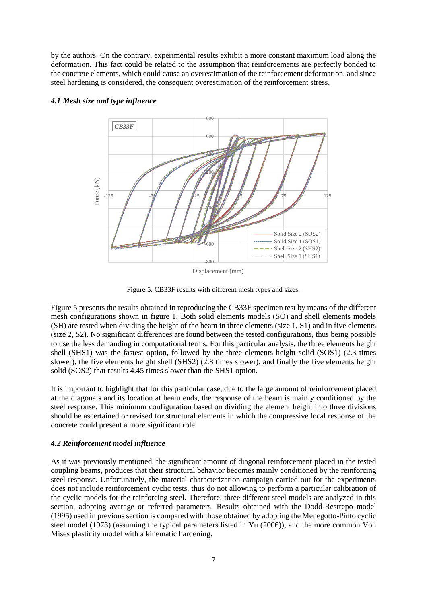by the authors. On the contrary, experimental results exhibit a more constant maximum load along the deformation. This fact could be related to the assumption that reinforcements are perfectly bonded to the concrete elements, which could cause an overestimation of the reinforcement deformation, and since steel hardening is considered, the consequent overestimation of the reinforcement stress.



# *4.1 Mesh size and type influence*

Displacement (mm)

Figure 5. CB33F results with different mesh types and sizes.

Figure 5 presents the results obtained in reproducing the CB33F specimen test by means of the different mesh configurations shown in figure 1. Both solid elements models (SO) and shell elements models (SH) are tested when dividing the height of the beam in three elements (size 1, S1) and in five elements (size 2, S2). No significant differences are found between the tested configurations, thus being possible to use the less demanding in computational terms. For this particular analysis, the three elements height shell (SHS1) was the fastest option, followed by the three elements height solid (SOS1) (2.3 times slower), the five elements height shell (SHS2) (2.8 times slower), and finally the five elements height solid (SOS2) that results 4.45 times slower than the SHS1 option.

It is important to highlight that for this particular case, due to the large amount of reinforcement placed at the diagonals and its location at beam ends, the response of the beam is mainly conditioned by the steel response. This minimum configuration based on dividing the element height into three divisions should be ascertained or revised for structural elements in which the compressive local response of the concrete could present a more significant role.

# *4.2 Reinforcement model influence*

As it was previously mentioned, the significant amount of diagonal reinforcement placed in the tested coupling beams, produces that their structural behavior becomes mainly conditioned by the reinforcing steel response. Unfortunately, the material characterization campaign carried out for the experiments does not include reinforcement cyclic tests, thus do not allowing to perform a particular calibration of the cyclic models for the reinforcing steel. Therefore, three different steel models are analyzed in this section, adopting average or referred parameters. Results obtained with the Dodd-Restrepo model (1995) used in previous section is compared with those obtained by adopting the Menegotto-Pinto cyclic steel model (1973) (assuming the typical parameters listed in Yu (2006)), and the more common Von Mises plasticity model with a kinematic hardening.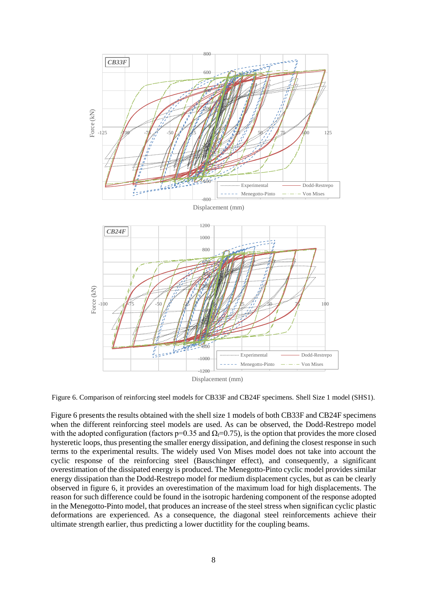

Figure 6. Comparison of reinforcing steel models for CB33F and CB24F specimens. Shell Size 1 model (SHS1).

Figure 6 presents the results obtained with the shell size 1 models of both CB33F and CB24F specimens when the different reinforcing steel models are used. As can be observed, the Dodd-Restrepo model with the adopted configuration (factors p=0.35 and  $\Omega$ <sub>f</sub>=0.75), is the option that provides the more closed hysteretic loops, thus presenting the smaller energy dissipation, and defining the closest response in such terms to the experimental results. The widely used Von Mises model does not take into account the cyclic response of the reinforcing steel (Bauschinger effect), and consequently, a significant overestimation of the dissipated energy is produced. The Menegotto-Pinto cyclic model provides similar energy dissipation than the Dodd-Restrepo model for medium displacement cycles, but as can be clearly observed in figure 6, it provides an overestimation of the maximum load for high displacements. The reason for such difference could be found in the isotropic hardening component of the response adopted in the Menegotto-Pinto model, that produces an increase of the steel stress when significan cyclic plastic deformations are experienced. As a consequence, the diagonal steel reinforcements achieve their ultimate strength earlier, thus predicting a lower ductitlity for the coupling beams.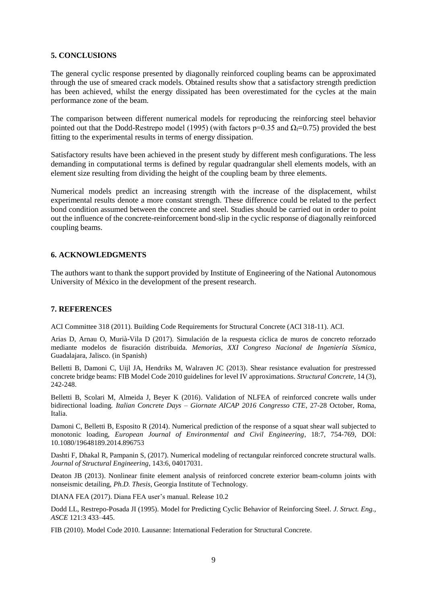# **5. CONCLUSIONS**

The general cyclic response presented by diagonally reinforced coupling beams can be approximated through the use of smeared crack models. Obtained results show that a satisfactory strength prediction has been achieved, whilst the energy dissipated has been overestimated for the cycles at the main performance zone of the beam.

The comparison between different numerical models for reproducing the reinforcing steel behavior pointed out that the Dodd-Restrepo model (1995) (with factors  $p=0.35$  and  $\Omega_f=0.75$ ) provided the best fitting to the experimental results in terms of energy dissipation.

Satisfactory results have been achieved in the present study by different mesh configurations. The less demanding in computational terms is defined by regular quadrangular shell elements models, with an element size resulting from dividing the height of the coupling beam by three elements.

Numerical models predict an increasing strength with the increase of the displacement, whilst experimental results denote a more constant strength. These difference could be related to the perfect bond condition assumed between the concrete and steel. Studies should be carried out in order to point out the influence of the concrete-reinforcement bond-slip in the cyclic response of diagonally reinforced coupling beams.

# **6. ACKNOWLEDGMENTS**

The authors want to thank the support provided by Institute of Engineering of the National Autonomous University of México in the development of the present research.

# **7. REFERENCES**

ACI Committee 318 (2011). Building Code Requirements for Structural Concrete (ACI 318-11). ACI.

Arias D, Arnau O, Murià-Vila D (2017). Simulación de la respuesta cíclica de muros de concreto reforzado mediante modelos de fisuración distribuida. *Memorias, XXI Congreso Nacional de Ingeniería Sísmica*, Guadalajara, Jalisco. (in Spanish)

Belletti B, Damoni C, Uijl JA, Hendriks M, Walraven JC (2013). Shear resistance evaluation for prestressed concrete bridge beams: FIB Model Code 2010 guidelines for level IV approximations. *Structural Concrete*, 14 (3), 242-248.

Belletti B, Scolari M, Almeida J, Beyer K (2016). Validation of NLFEA of reinforced concrete walls under bidirectional loading*. Italian Concrete Days – Giornate AICAP 2016 Congresso CTE*, 27-28 October, Roma, Italia.

Damoni C, Belletti B, Esposito R (2014). Numerical prediction of the response of a squat shear wall subjected to monotonic loading, *European Journal of Environmental and Civil Engineering*, 18:7, 754-769, DOI: 10.1080/19648189.2014.896753

Dashti F, Dhakal R, Pampanin S, (2017). Numerical modeling of rectangular reinforced concrete structural walls. *Journal of Structural Engineering*, 143:6, 04017031.

Deaton JB (2013). Nonlinear finite element analysis of reinforced concrete exterior beam-column joints with nonseismic detailing, *Ph.D. Thesis*, Georgia Institute of Technology.

DIANA FEA (2017). Diana FEA user's manual. Release 10.2

Dodd LL, Restrepo-Posada JI (1995). Model for Predicting Cyclic Behavior of Reinforcing Steel*. J. Struct. Eng., ASCE* 121:3 433–445.

FIB (2010). Model Code 2010. Lausanne: International Federation for Structural Concrete.